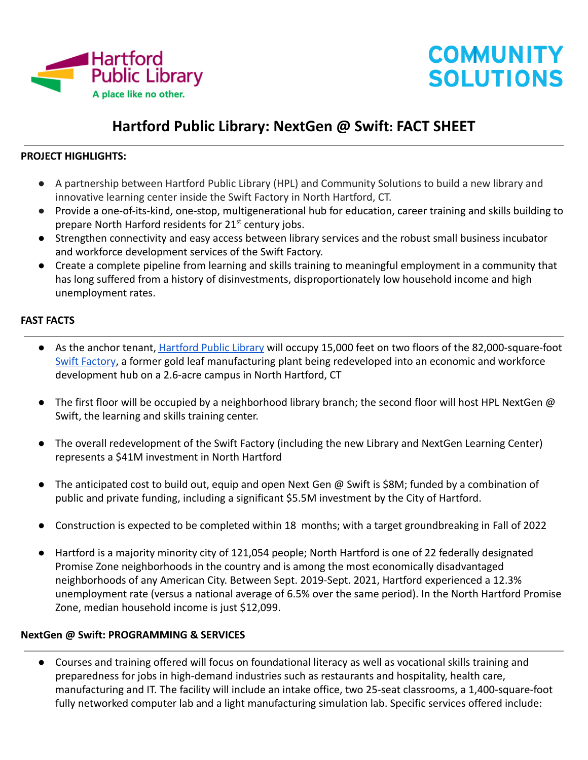

# **COMMUNITY SOLUTIONS**

# **Hartford Public Library: NextGen @ Swift: FACT SHEET**

#### **PROJECT HIGHLIGHTS:**

- A partnership between Hartford Public Library (HPL) and Community Solutions to build a new library and innovative learning center inside the Swift Factory in North Hartford, CT.
- Provide a one-of-its-kind, one-stop, multigenerational hub for education, career training and skills building to prepare North Harford residents for 21<sup>st</sup> century jobs.
- Strengthen connectivity and easy access between library services and the robust small business incubator and workforce development services of the Swift Factory.
- Create a complete pipeline from learning and skills training to meaningful employment in a community that has long suffered from a history of disinvestments, disproportionately low household income and high unemployment rates.

#### **FAST FACTS**

- As the anchor tenant, [Hartford Public Library](https://www.hplct.org/) will occupy 15,000 feet on two floors of the 82,000-square-foot [Swift Factory,](https://www.swiftfactory.org/) a former gold leaf manufacturing plant being redeveloped into an economic and workforce development hub on a 2.6-acre campus in North Hartford, CT
- $\bullet$  The first floor will be occupied by a neighborhood library branch; the second floor will host HPL NextGen  $\omega$ Swift, the learning and skills training center.
- The overall redevelopment of the Swift Factory (including the new Library and NextGen Learning Center) represents a \$41M investment in North Hartford
- The anticipated cost to build out, equip and open Next Gen @ Swift is \$8M; funded by a combination of public and private funding, including a significant \$5.5M investment by the City of Hartford.
- Construction is expected to be completed within 18 months; with a target groundbreaking in Fall of 2022
- Hartford is a majority minority city of 121,054 people; North Hartford is one of 22 federally designated Promise Zone neighborhoods in the country and is among the most economically disadvantaged neighborhoods of any American City. Between Sept. 2019-Sept. 2021, Hartford experienced a 12.3% unemployment rate (versus a national average of 6.5% over the same period). In the North Hartford Promise Zone, median household income is just \$12,099.

#### **NextGen @ Swift: PROGRAMMING & SERVICES**

● Courses and training offered will focus on foundational literacy as well as vocational skills training and preparedness for jobs in high-demand industries such as restaurants and hospitality, health care, manufacturing and IT. The facility will include an intake office, two 25-seat classrooms, a 1,400-square-foot fully networked computer lab and a light manufacturing simulation lab. Specific services offered include: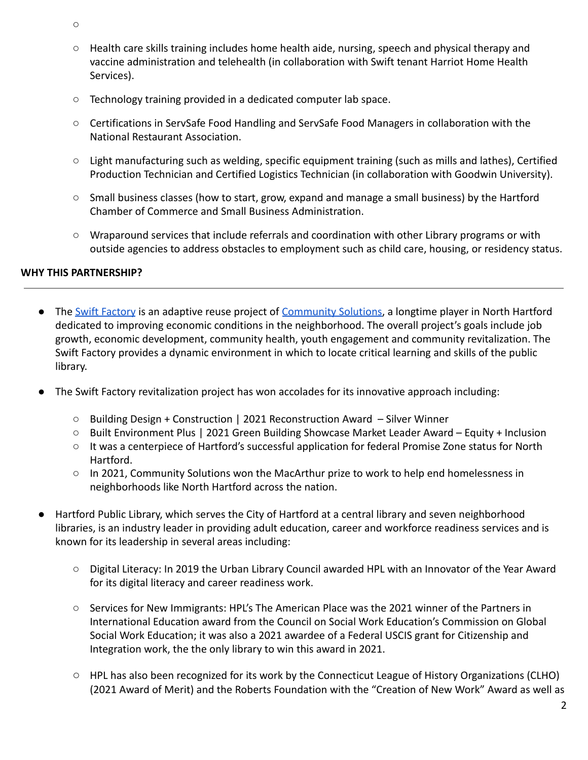- $\Omega$
- Health care skills training includes home health aide, nursing, speech and physical therapy and vaccine administration and telehealth (in collaboration with Swift tenant Harriot Home Health Services).
- Technology training provided in a dedicated computer lab space.
- Certifications in ServSafe Food Handling and ServSafe Food Managers in collaboration with the National Restaurant Association.
- Light manufacturing such as welding, specific equipment training (such as mills and lathes), Certified Production Technician and Certified Logistics Technician (in collaboration with Goodwin University).
- Small business classes (how to start, grow, expand and manage a small business) by the Hartford Chamber of Commerce and Small Business Administration.
- Wraparound services that include referrals and coordination with other Library programs or with outside agencies to address obstacles to employment such as child care, housing, or residency status.

## **WHY THIS PARTNERSHIP?**

- The [Swift Factory](https://www.swiftfactory.org) is an adaptive reuse project of [Community Solutions](https://community.solutions), a longtime player in North Hartford dedicated to improving economic conditions in the neighborhood. The overall project's goals include job growth, economic development, community health, youth engagement and community revitalization. The Swift Factory provides a dynamic environment in which to locate critical learning and skills of the public library.
- The Swift Factory revitalization project has won accolades for its innovative approach including:
	- Building Design + Construction | 2021 Reconstruction Award Silver Winner
	- Built Environment Plus | 2021 Green Building Showcase Market Leader Award Equity + Inclusion
	- It was a centerpiece of Hartford's successful application for federal Promise Zone status for North Hartford.
	- In 2021, Community Solutions won the MacArthur prize to work to help end homelessness in neighborhoods like North Hartford across the nation.
- Hartford Public Library, which serves the City of Hartford at a central library and seven neighborhood libraries, is an industry leader in providing adult education, career and workforce readiness services and is known for its leadership in several areas including:
	- Digital Literacy: In 2019 the Urban Library Council awarded HPL with an Innovator of the Year Award for its digital literacy and career readiness work.
	- Services for New Immigrants: HPL's The American Place was the 2021 winner of the Partners in International Education award from the Council on Social Work Education's Commission on Global Social Work Education; it was also a 2021 awardee of a Federal USCIS grant for Citizenship and Integration work, the the only library to win this award in 2021.
	- HPL has also been recognized for its work by the Connecticut League of History Organizations (CLHO) (2021 Award of Merit) and the Roberts Foundation with the "Creation of New Work" Award as well as